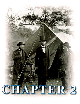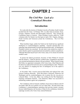# **CHAPTER 2**

# The Civil War: Lack of a **Centralized Direction**

# **Introduction**

Six weeks after the election of Abraham Lincoln as President, South Carolina seceded from the Union. In February 1861, six other states (Louisiana, Texas, Georgia, Alabama, Florida and Mississippi) followed. They formed the Confederate States of America. When President Lincoln called for 75,000 volunteers after Fort Sumter was fired upon in April, 1861, Virginia, Arkansas, North Carolina and Tennessee joined the Confederacy. The Civil War had begun.

When hostilities began, neither the North nor the South had any significant intelligence or counterintelligence capability. Generals operated their own espionage rings and personally recruited and directed their spies. In Washington, President Lincoln was concerned. He only had to look outside his window to realize that the capital was penetrated and surrounded by southern sympathizers. Although Maryland stayed loyal to the Union, many of its citizens favored the southern cause.

To protect the federal government, Secretary of State William H. Seward took the initiative. Under his directon, southern spies, sympathizers and others were arrested and detained as threats to the government. When General George McClellan was appointed commander of the Union Army, Allan Pinkerton and his detectives replaced Seward in his role as counterintelligence chief. Pinkerton was very effective in stopping the flow of intelligence out of the capital to the Confederacy.

In November 1862, Lincoln removed McClellan and replaced him with General Ambrose Burnside. With McClellan's dismissal, Pinkerton left Washington and his counterintelligence role to protect the city was given to Lafayette Baker. At the time, Baker was working for the War Department, targeting contraband channels. Like Pinkerton, Baker was successful in neutralizing southern agents and sympathizers.

The Confederacy did not formerly establish a Secret Service Bureau until 30 November 1864; the war would be over on 9 April 1865. The full extent of the Confederacy's counterintelligence operations and activities remain a mystery because Judah Benjamin, the Secretary of State for the confederacy, burned all espionage records as the Union Army entered Richmond.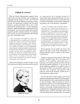# William H. Seward<sup>1</sup>

When the Lincoln Administration suddenly found itself faced with open hostilities and accompanying espionage and spy intrigues in 1861, one of the first officials to react to the situation was Secretary of State Seward. His organization combined both the police function—pursing individuals with a view to their incarceration and prosecution—and the intelligence function—gathering information regarding the loyalty and political views of citizens without any particular regard for possible violations of the law. In combining the two tasks, of course, their distinction often became lost. One commentator notes:

The Government's first efforts to control the civilian population were conducted by the Secretary of State for reasons both personal and official. William H. Seward, the "Premier" of the Cabinet, had an unquenchable zeal for dabbling in everyone else's business. In addition, since the establishment of the Federal Government the office of the Secretary of State had been somewhat of a catchall for duties no other executive agency was designed to handle. With the war, and the new problem of subversion on the home front, Seward soon began to busy himself about arrests of political prisoners, their incarceration, and then the next step of setting up secret agents to ferret them out.<sup>2</sup>

There are no informative records as to how or why the initial arrests of political prisoners and the creation



William H. Seward

of a secret service fell to Secretary Seward. It is entirely likely that he requested these duties. The more important consideration, however, concerns the extent to which he responsibly carried out these obligations. According to one of the Secretary's biographers:

Arrests were made for any one of many reasons: where men were suspected of having given, or intending to give, aid or comfort to the enemy in any substantial way,—as by helping in the organization of troops, by supplying arms or provisions, or selling the bonds of the states in secession; by public or private communications that opposed United States enlistment or encouraged those of the Confederacy; by expressing sympathy with the South or attacking the administration; by belonging to organizations designed to obstruct the progress of the war-in fact for almost any act that indicated a desire to see the government fail in its effort to conquer disunion.<sup>3</sup>

But the question was not simply one of fact. The manner and nature of the arrest and detention of political offenders raised a number of due process considerations.

The person suspected of disloyalty was often seized at night, searched, borne off to the nearest fort, deprived of his valuables, and locked up in a casemate, or in a battery generally crowded with men that had had similar experiences. It was not rare for arrests regarded as political to be made by order of the Secretary of War or of some military officer; but, with only a few exceptions, these prisoners came under the control of the Secretary of State just as if he had taken the original action.

For a few days the newcomer usually voiced varied reflection and loud denunciation of the administration. But the discomforts of his confinement soon led him to seek his freedom. When he resolved to send for friends and an attorney, he was informed that the rules forbade visitors, except in rate instances, that attorneys were entirely excluded and the prisoner who sought their aid would greatly prejudice his case. Only unsealed letters would be forwarded, and if they contained objectionable statements they were returned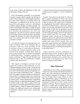to the writer or filed in the Department of State with other papers relating to the case.

There still remained a possibility, it was generally assumed, of speedy relief by appeal to the Secretary in person. Then a long narrative, describing the experiences of a man whose innocence was equaled only by his misfortunes, was addressed to the nervous, wiry, allpowerful man keeping watch over international relations, political offenders, and affairs generally. The letter was read by the Chief Clerk or Assistant Secretary, and then merely filed. A second, third, and fourth petition for liberation and explanations was sent to the department—but with no result save that the materials for the study of history and human nature were thereby enlarged; the Secretary was calm in the belief that the man was a plotter and could do no harm while he remained in custody.<sup>4</sup>

To rectify this situation, two important steps were taken in February 1862. On St. Valentine's Day, an Executive order was issued providing for the wholesale release of most political prisoners, excepting only "persons detained as spies in the service of the insurgent, or others whose release at the present moment may be deemed incompatible with the public safety."<sup>5</sup> In addition, a special review panel, consisting of Judge Edwards Pierrepont and General John A. Dix, was established to expedite releases under this directive.<sup>6</sup>

With regard to intelligence activities, Seward apparently employed Allan Pinkerton for such operations during the summer of 1861, "but did not keep him long, perhaps because he felt that the detective was too close to the President, and Seward wanted his own man, whose loyalty would be direct to him."<sup>7</sup> A listening post was sought in Canada for purposes of checking on the activities of Confederate agents and to monitor the trend of sentiment in British North America during the secession crisis.<sup>8</sup> Former Massachusetts Congressman George Ashmun was appointed special agent to Canada for three months in early 1861 at a salary of \$10 a day plus expenses. Seward advanced \$500 cash on account. Another operative, Charles S. Ogden, took residence in Quebec and additional stations were subsequently established at Halifax and St. John's, among other seaports.<sup>9</sup>

A domestic network also came into being while the Canadian group struggled to recruit confidential agents.

Seward's "Secret Service Letter Book" for 1861 was full of inquiries dispatched to friends and trusted official associates throughout the country asking them to discover persons who could be put on important investigating tasks. He wanted "a discreet and active" man for the Northern frontier, to arrest spies seeking entrance from Canada, and offered to pay such a man \$100 a month. A little later he appointed a special agent at Niagara Falls, to examine the persons coming over the Suspension Bridge, and seize and hold any whom seemed suspicious. He sought, without immediate results, a good man for Chicago and another for Detroit. He authorized the United States Marshall at Boston to employ two detectives for twomonth's time, each at \$150 a month. This was particularly urgent; therefore let the Marshall consult the governor of the State, "and take effective measures to break up the business of making and sending shoes for the Rebel Army."<sup>10</sup>

Almost unnoticed, Seward's intelligence organization began to grow; though its agents often proved to be ineffective amateurs. Shortly, however, professionalism, discipline, and a careful sense of mission came to the Secretary's spy corps in the person of Lafayette Charles Baker.

# Allan Pinkerton<sup>11</sup>

Allan Pinkerton (1819-1884), a Scottish immigrant, is best known as the founder of the Pinkerton detective agency, one of the most famous organizations of its kind. Pinkerton emigrated to Chicago in 1842 and moved to Dundee, Kane County, Illinois in 1843. After apprehending a gang of counterfeiters, he was appointed deputy sheriff of Kane County in 1846 and immediately afterward of Cook County, headquartered in Chicago. There he organized a force of detectives to counter theft of railroad property, and in 1850 he established the North Western Police Detective agency, later renamed Pinkerton's National Detective Agency.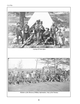

Members of the Bureau of Military Information, Army of the Potomac.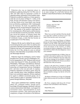Pinkerton also was an important player in intelligence gathering during the Civil War years of 1861 and 1862 when he organized a system of obtaining military information in the Southern states. Pinkerton recorded his exploits as a Union operative, under the nom-de-plume of Major E. J. Allen, in the book, The Spy of the Rebellion: Being a True History of the Spy System of the United States Army During the Late Rebellion, published in 1883. Unfortunately for the historian, the book was published after Pinkerton lost his records during the Chicago fire of 1871. The majority of his narrative relied upon his few remaining notes, official reports, and his memory of events that had occurred 20 years before. The book also served the purpose of refuting claims that Pinkerton's spies had provided inflated numbers of Confederate troops, a claim that has become an accepted part of Civil War history.

Pinkerton felt the need to defend his spy system's record during the first years of the war and his close association with Major General George B. McClellan. Pinkerton had been well acquainted with McClellan before the Civil War, during his years as railroad detective when McClellan was president of the Ohio and Mississippi Railroad.

Pinkerton began his intelligence activity before President-elect Lincoln's arrival in Washington, D.C. for his inauguration in 1861. Pinkerton had received a letter from Samuel H. Felton, the president of the Philadelphia, Wilmington and Baltimore Railroad, warning of a plan to disrupt Lincoln's trip by destroying rail transportation between Washington, D.C. and cities in the west and north. In response, Pinkerton dispatched surveillance agents along the roads, selecting places where intelligence indicated there were secessionist supporters. He also employed two agents to infiltrate secessionist groups, one of whom learned of plans to assassinate Lincoln as he passed through Baltimore, Maryland.

These agents established their credibility through ethnic ties, collegiate studies, foreign travel, knowledge of foreign languages, familiarity with local customs and prominent individuals, vocal support for secessionist causes, and participation in secret secessionist societies. They discovered that the conspirators, in league with members of the Baltimore

police force, planned to assassinate Lincoln as he rode in an open carriage for a half-mile between the Northern Central Railroad Station to the Washington depot.

### **Pinkerton Letter**

Chicago, April 21st 1861 To His Excellence A Lincoln. Pres. of the U-S

Dear Sir

When I saw you last I said that if the time should ever come that I could be of service to you I was ready-If that time has come I am on hand.

I have in my Force from Sixteen to Eighteen persons on whose courage, Skill & Devotion to their Country I can rely. If they with myself at the head can be of service in the way of obtaining information of the movements of the Traitors, or Safely conveying your letters or dispatches, or that class of Secret Service which is the most dangerous, I am at vour command-

In the present disturbed state of Affairs I dare not trust this to the mail-so send by one of My Force who was with me at Baltimore-You may safely trust him with any message for me-Written or Verbal-I fully guarantee his fidelity-He will act as you directand return here with your answer.

Secrecy is the great lever, I propose to operate with-Hence the necessity of this movement (If you contemplate it) being kept Strictly Private-and that should you desire another interview with the Bearer that you should so arrange it-as that he will not be noticed.

The Bearer will hand you A Copy of A Telegraph Cipher which you may use if you desire to Telegraph me-

My Force comprises both Sexes-All of Good Character-And well Skilled in their Business.

Respectfully yours,

Allan Pinkerton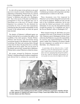In a tale with as many twists and turns as any good spy novel, Lincoln is secretly whisked from a public appearance in Harrisburg, Pennsylvania, by a special train to Philadelphia, then through the "lines of treason" in Baltimore and safely on to Washington, D.C. Key to the success of this plan was Pinkerton's arrangement to have the telegraph lines out of Harrisburg cut so that news of Lincoln's abrupt departure was contained. He also detained two journalists by force of arms from immediately reporting the plan and assumed responsibility for the security of the railroad tracks, on which the special train traveled.

The identity of Pinkerton's infiltrated agents was closely held and led to an incident that added to the credibility of his chief operative, Timothy Webster. Webster had become well entrenched among secessionist groups in the Baltimore area, frequently socializing with them and carrying letters through Union lines for them. He played his role so well that another secret service agent, who was not aware of his identity and activities, arrested him in Baltimore. Webster had to contact Pinkerton to obtain his release.

His escape, arranged by Pinkerton, increased Webster's standing among the Southern sympathizers and allowed him to continue his successful spy operations. He became a trusted emissary of the Confederate government, delivering letters and other communications to relatives in the North.

These documents were first inspected by Pinkerton's service before being delivered and in this way served two purposes. Webster not only won the trust of the Confederate authorities, but he also provided the federal government with valuable information. In one case, the intercepted documents revealed the presence of a Confederate spy ring in the Provost Marshal's office in Washington, D.C.

When General George B. McClellan was given command of the Army of the Potomac in November 1861, Pinkerton came to Washington with him. It was at this time that Pinkerton was given the responsibility for security and counterintelligence within the nation's capital. How Pinkerton was going to handle this new assignment was spelled out in a letter to McClellan. In it, Pinkerton wrote:

In operating with my detective force, I shall endeavor to test all suspected persons in various ways. I shall seek access to their houses, clubs, and places of resort, managing that among the members of my force shall be ostensible representatives of every grade of society, from the highest to the most



John C. Babcock (center standing) pictured while a member of Pinkerton's organization. Standing with him are (left) Augustus K. Littlefield and (right) George H. Bangs. Seated (left) William Moore, Secretary to War **Secretary Stanton and Allen Pinkerton.**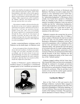menial. Some shall have the entree to the gilded salon of the suspected aristocratic traitors, and be their honored guests, while others will act in the capacity of valets, or domestics of various kinds, and try the efficacy of such relations with the household to gain evidence. Other suspected ones will be tracked by the "Shadow" detective, who will follow their every foot-step, and note their every action.

I also propose to employ a division of my force for the discovery of any secret traitorous organization which may be in existence; and if any such society is discovered, I will have my operatives become members of the same, with a view to ascertaining the means employed in transmitting messages through the lines, and also for the purpose of learning, if possible, the plans of the rebels. All strangers arriving in the city, whose associations or acts may lay them open to suspicion, will be subjected to a strict surveillance.<sup>12</sup>

Another counterintelligence technique used by Pinkerton was the double agent. As Pinkerton wrote:

In war, as in a game of chess, if you know the moves of your adversary in advance, it is then an easy matter to shape your own plans, and make your moves accordingly, and, of course always to your own decided advantage. So in this case, I concluded that if the information intended for the rebels could first be had by us, after that, they were welcome to all the benefit they might derive from them.<sup>13</sup>

Another of Pinkerton's agents infiltrated the Southern bureau of intelligence in Richmond, managed partly by the Confederate government and



**Layfayette Baker** 

partly by wealthy merchants in Richmond and Baltimore. This bureau was said to employ about 50 persons to carry information across Union lines. Pinkerton's agent, George Curtis, gained access to the "subterranean headquarters" of this bureau, which actually were located above ground in a Richmond hotel, by claiming to be a dealer in contraband material. According to Pinkerton, Curtis was such an excellent spy that the "subterranean headquarters, with its corps of operatives, never did the Union cause any practical harm, but a great deal of good, in furnishing intelligence of the movements and intentions of the rebel forces."

Pinkerton's memoirs also recount how his service used women and slaves as spies. Mrs. E. H. Baker, a former resident of Richmond who had moved north at the war's start, was one notable woman agent. Returning to Richmond in Pinkerton's service, she renewed an acquaintance with a Confederate officer and his wife, and learned of a planned test of a submarine battery. She pursued this lead and asked to be invited to the test of a small working model of the Merrimac. She immediately carried news of the test back to Pinkerton who alerted General McClellan and the Secretary of the Navy. Pinkerton saw this incident as changing the destiny of the Union in the face of this "infernal machine."

Pinkerton stopped working with the Union Army after General McClellan was removed as commander, although he continued to investigate government fraud cases. In 1865 he severed his connection with the Secret Service and returned to Chicago to pursue his detective profession. What he provides in his memoir is his case that his wartime agents operated heroically in the service of their country.

# Layfayette Baker<sup>14</sup>

Born in New York in 1826 and reared in the Michigan wilderness, Layfayette Baker engaged in mechanical and mercantile pursuits in the state of his birth and in Philadelphia in 1848 before departing, in 1853, for California. Three years later he was an active member of the Vigilance Committee. This experience and his admiration of Francios Vidocq (1775-1857),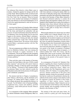an infamous Paris detective whom Baker came to imitate, whetted his appetite for intrigue and the life of the sleuth. When hostilities broke out between the North and the South, Baker happened to be heading for New York City on business. When he became aware of the mischief and misdeeds of Confederate spies and saboteurs in and around Washington, he set out for the capital determined to offer his services as a Union agent.<sup>15</sup>

Arriving in the District of Columbia, Baker obtained an interview with General Winfield Scott, commander of the Army and himself not unfamiliar with spy services. In need of information about the rebel forces at Manassas, Scott, having already lost five previous agents on the mission, solicited Baker's assistance. After an adventure of daring and dash, the intrepid Baker returned three weeks later with the details sought by General Scott. The success of the mission earned Baker a permanent position with the War Department.<sup>16</sup>

The next assignment given Baker involved ferreting out two Baltimore brothers who were running the Union blockade to supply munitions to the Confederates. This he did, breaking up the smuggling operation and earning himself a considerable amount of press publicity.<sup>17</sup>

These activities came to the attention of Secretary Seward who hired Baker at the rate of \$100 a month plus expenses<sup>18</sup> and sent him off to prowl wherever espionage, sabotage, or rebel spy agents were thought to be lurking.<sup>19</sup> Assisted by three hundred Indian cavalrymen, Baker was later ordered to probe the Maryland countryside for the presence of rebel agents and Confederate sympathies.

His mission took him to Chapico, Leonardstown, Port Tobacco, Old Factory, and the farmland of St. George's, St. Charles and St. Mary's counties.<sup>20</sup> As his column advanced, they punished the disloyal. As a result, "he left behind a trail of burning buildings, frightened men, women and children, terrified informers, (and) bullet-pierced Secesh Tobacco planters.<sup>21</sup>

As a consequence of this campaign, Baker attempted to interest Postmaster General Montgomery Blair in a purge of disloyal Maryland postmasters, replacing them with Union stalwarts or closing the stations. Blair was well aware of disloyalty among some of the Maryland postmasters and earlier had ordered their displacement. In a report to the Secretary of State, Baker claimed he had obtained unlimited authority to conduct the postmaster purge and requested a military force of two hundred to three hundred men to police the localities in Maryland where these disloyal officials had been discovered. The proposal was ignored but Baker had a variety of other tasks to occupy him as Seward's intelligence chief.<sup>22</sup>

With enough endurance for a dozen men, he worked almost without rest to educate himself in the everspreading operations of the rebels and their sympathizers. He traveled to Canada to see for himself what the South was doing to build a fire in the rear of the Union: he made the acquaintance of police chiefs of the big northern cities: he personally took prisoners to the harbor forts to look over conditions; he uncovered and jotted down identities of suppliers of war goods to the South; he acquired a firsthand knowledge of Secesh-supporting newspapers, in sedition-ridden New York, New Jersey, and the seething West. Only on rare occasions, when official duty took him there, did he see his wife Jennie, who had gone to the security of her parent's home in Philadelphia.<sup>23</sup>

As a consequence of Lincoln's St. Valentine's Day directive regarding the release of political prisoners and limiting "extraordinary arrests" to "the direction of the military authorities alone," Baker was recommended to the War Department and its new Secretary, Edwin M. Stanton. In accepting Baker's services, Stanton warned him of the grave and desperate situation facing the government, advised him that he would never be permitted to disclose the authority for his actions, and gave notice that he would be expected to pursue all enemies of the Union, regardless of their station, power, loyalty, partisanship, or profession. Baker's detective service was to be the terror of the North as well as the South, secretly funded, and accountable exclusively and directly to the Secretary of War.<sup>24</sup>

The enemies of the state took many forms. An enemy could be a pretty girl with swaying hips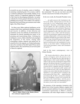covered by an acre of crinoline, carrier of rebellionsustaining contraband goods. Or an enemy could be a contractor selling the Union shoddy clothing. Or an enemy could be a Copperhead sapping the strength of the Union by discouraging enlistments. An enemy could also be a Union general with larceny in his soul, gambling away the pay of his soldiers. He could be a guerrilla with a torch firing a government corral within sight of the White House.<sup>25</sup>

For three years, Baker gathered intelligence on the enemies of the Union, reporting his findings to Stanton and Lincoln. In addition, at their direction and sometimes on his own authority, he functioned as an instrument for directly punishing the enemy or for arresting and incarcerating them. Utilizing his intelligence sources, Baker identified and prejudged the despoilers of the Union; relying upon extraordinary military authority and martial law, he seized his foe in his capacity as a Federal policeman; and as the custodian of the Old Capitol Prison and its nefarious annex, the Carroll Prison, he served as jailer of those he captured.



Mary E. Walker, Winner of the Medal of Honor, who worked for Layfayette Baker.

Of Baker's Commander-in-Chief, one authority has commented: "No one can ever know just what Lincoln conceived to be limits of his powers."26

In his own words, the Sixteenth President wrote:

"... my oath to preserve the Constitution to the best of my ability, imposed upon me the duty of preserving, by every indispensable means, that government—that nation—of which that Constitution was the organic law. Was it possible to lose the nation, and yet preserve the constitution? By general law life and limb must be protected; yet often a limb must be amputated to safe a life, but a life is never wisely given to save a limb. I felt that measures, otherwise unconstitutional, might become lawful, by becoming indispensable to the preservation of the constitution through the preservation of the nation. Right or wrong, I assumed this ground, and now avow it. I could not feel that, to the best of my ability, I had ever tried to preserve the constitution, if, to save slavery, or any minor matter, I should permit the wreck of the government, county, and Constitution all together."27

And in the more contemporary view of **Clinton Rossiter:** 

"Mr. Lincoln subscribed to a theory that in the absence of Congress and in the presence of an emergency the President has the right and duty to adopt measures which would ordinarily be illegal, subject to the necessity of subsequent congressional approval. He did more than this; he seemed to assert that the war powers for the Constitution could upon occasion devolve completely upon the President, if their exercise was based upon public opinion and an inexorable necessity. They were then sufficient to embrace any action within the fields of executive or legislative or even judicial power essential to the preservation of the Union. (He) . . . implied that this government, like all others, possessed an absolute power of self-defense, a power to be exerted by the President of the United States. And this power extended to the breaking of the fundamental laws of the nation, if such a step were unavoidable. $28$ 

The presence of this operating viewpoint at the highest level of the Executive Branch, coupled with his own personal ambitions for power and prestige, contributed significantly to Baker's zealous, authoritarian, and often illegal manner of carrying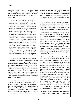out his War Department mission. Nevertheless, Baker must be recognized as a professional thoroughly familiar with the methods and tactics of his profession. Reflecting a classically Machiavellian perspective, he once wrote:

"It may be said that the deception and misstatements resorted to, and inseparable from the detective service, are demoralizing and prove unsoundness of character in its officers. But is must be borne in mind that, in war, no commander fails to deceive the enemy when possible, to secure the best Spies, scouts, advantage. intercepted correspondence, feints in army movements, misrepresentations of military strength and position, are regarded as honorable means of securing victory over the foe. The work of the detectives is simply deception reduced to a science or profession; and whatever objection, on ethical grounds, may lie against the secret service, lies with equal force against the strategy and tactics of Washington, Scott, Grant, and the host of their illustrious associates in the wars of the world. War is a last and terrible resort in the defense of even a righteous cause, and sets at defiance all of the ordinary laws and customs of society, overriding the rights of property and the sanctity of the Sabbath. And not until the nation learns war no more, will the work of deception and waste of morals, men and treasures cease."29

Establishing offices at 217 Pennsylvania Avenue, in close proximity to both the White House and the War Department, Baker began gathering recruits and organizing his unit. Operating without official status, the group was generally referred to as the Secret Service Bureau. Its personnel, known only to Baker in terms of number and complete identity, bore no credentials other than a small silver badge.<sup>30</sup> Secretly commissioned as a colonel; Baker initially represented himself, when absolutely necessary, as an agent of the War Department. Later, he publicly cited his military rank and held the title of Provost Marshal.

He initiated the nation's first police dossier system although the rebels, the Copperheads, and the misguided among the Loyalists in the North charged him with poking his private eyes into the homes of the innocent. He gathered systematically the first criminal photo file, enabling a more efficient pursuit of the enemies of the nation. He instituted a policy of seizing suspects in the dead of the night when their resistance to interrogation and their ability to seek help would be at the lowest ebb. He made a science of the interrogation of prisoners, using teams of detectives to work over a suspect until he was satisfied he either had the full story or he could drag no more information from his victim.

He established a secret fund for building and feeding a vast army of informers and unlisted agents. No one except he knew the full range of his organization. Even his most trusted aides were not allowed to know the identity of all of his operatives.<sup>31</sup>

For reasons of both security and strategy, Baker's agents were divided into daylight and nighttime units—the men in one group did not know the identity of those in the other—and another section counted operatives who infiltrated and trafficked in the capital's high society.<sup>32</sup> He cultivated contacts with the police in the nation's society. He cultivated contacts with the police in the nation's major cities<sup>33</sup> and kept a close watch on Confederate activities in Canada.<sup>34</sup> By the summer of 1863, a branch office had been set up in New York City<sup>35</sup> and he succeeded in placing his personnel in the Post Office for purposes of inspecting the mails.<sup>36</sup>

On two occasions Baker's spy service gathered intelligence which probably contributed to the downfall of General McClellan: Baker's personal penetration of the Confederate forces at Manassas resulted in the discovery that the fortifications and artillery which were supposedly keeping McClellan's army at bay were actually earthen and wooden fakes and later Lincoln utilized the services of one of Baker's agents to secretly observe McClellan's conduct on the battlefield.<sup>37</sup> With the decline of McClellan, Allan Pinkerton, whom Baker regarded as "sagacious," departed from the scene, leaving some agents and the spy field to Baker.<sup>38</sup> The only other threat to Baker's supreme command of the secret service operations was the reputed organizer of the old Mexican Spy Company, Ethan Allen Hitchcock, but he was founded to be an old man seized with mysticism and pursuits of alchemy with no desires for any responsibility in the hostilities.<sup>39</sup>

In June of 1863, Baker gained an open commission in the army with the rank of colonel, the opportunity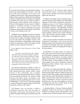to wear the Union uniform, and command of a military police force he had sought for some time.<sup>40</sup> The exact size of the unit is not known, or its losses, or its complete record of action. After much pressuring from Baker, Stanton agreed to establish the troop utilizing authority entitling the District Columbia to a battalion of infantry and cavalry for use within its confines.<sup>41</sup> Placed under a direct authority of the Secretary of War, the first Regiment Cavalry, known as "Baker's Rangers," consisted, ironically, of recruits from Robert E. Lee's former command, the Second Dragoons, renamed the Second Regular United States Cavalry at the outbreak of the war.<sup>42</sup>

Hundreds of men sought places in the new regiment; some offered bribes. Whether the attraction was the promise that no soldier in the Baker command would ever be sent outside the immediate vicinity of the District of Columbia or whether Baker's fame inspired all types of adventurers to flock to his banner was the subject of much conjecture at that time.<sup>43</sup>

In an appeal to the Governor of New York, Baker wrote:

"... the duties to be performed by this regiment demand on the part of both men and officers qualities of a high order, both mental and physical. Among these, I may enumerate intelligence, sobriety, selfdependence, bodily vigor, the power of endurance, and though last not least, that knowledge of the horse which results from early practical experience and management of that noble animal.<sup>44</sup>

The personal qualifications of Baker's recruits, of course, cannot be assessed. By their actions, however, they demonstrated great military ability, intense loyalty to their commander, and a complete insensitivity to the property, liberties and lives of those they encountered as enemies. For reasons of high morality and public image, the Rangers were unleashed upon the gambling parlors and vice dens of Washington.<sup>45</sup> Soon, however, they began engaging in forays of destruction against enemies of the Union beyond the confines of the capital.<sup>46</sup>

The Rangers were an auxiliary to Baker's intelligence activities; they were his agents of espionage, enforcement, and protection. Secret operatives gathered information in both the cities and the countryside of the Potomac region. Baker devoured their reports, conferred with Stanton and/or Lincoln, and then set out with enforcements against the subversives.

In addition to ferreting out spies, blockade runners, and locals giving aid and comfort to the rebels, Baker engaged in three major intelligence enterprises: unmasking crimes in the Treasury Department, smashing the Northwest conspiracy, and capturing the President's assassin.<sup>47</sup> The opportunity to probe the Treasury Department regarding allegations that it had become a bawdy house and command post for certain predatory interests arose around Christmas, 1863, when Treasury Secretary Salmon P. Chase invited Baker to investigate the situation.

There was growing talk of scandals in the Treasury Department. Newspapers were saying that the hundreds of girls busy scissoring the new greenbacks were hussies in the night. There were oyster feasts in the bonnet room. Clerks were making off with sheets of uncut currency.

Counterfeiters were discovering it was easier to steal a plate and run off bales of money rather than go to the trouble of making an imitation engraving in some hideaway. The Treasury's own police seemed helpless to stem the tide of corruption and debauchery. The Blair family, avowed enemies of Chase, was giving support to the rumors. (Postmaster General) Montgomery Blair's brother, Frank, cried out for congressional inquiry.<sup>48</sup>

The probe was charged and politically explosive. Seward, eyes upon the 1864 election and the White House beyond, might well have wanted Lincoln's top detective mired in the scandals, defused and defamed along with most of the Administration. In Hanson A. Risley, special Treasury agent, Seward had his own source of intelligence. So close were the two men that Risley gave over one of his daughters to Seward to adoption and, after Mrs. Seward's death, the old man sought her for his second wife.

In detailing Baker to Treasury, Stanton probably thought he would be the best man to vindicate the President as untainted, honest and ignorant of the conditions there. Himself a frequent critic of Lincoln,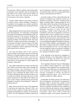the Secretary of War nevertheless realized that public confidence in the President must be maintained in the midst of the country's perils and he might well have been aware that Lincoln had no direct involvement in the treasury calamities.

Factions within Congress were ready to intervene to attack Lincoln, Chase, and Baker. Ultimately, a committee of investigation was formed, probed the situation, and beclouded the facts and the guilt of those involved.

Baker plunged into the Treasury probe with ferocity and determination. He temporarily relinquished command of the Rangers and established an office in the dark basement of the Treasury building. His techniques were direct and dauntless; he stalked the printing facilities and subjected clerks and lesser officials to ruthless and merciless interrogation. At one juncture he halted a funeral cortege in the midst of the city, seized the corpse of a Treasury girl and had an examination made to determine if her death had resulted from an abortion.<sup>49</sup>

And what did Baker find? At the outset he discovered that young James Cornwell, who had the function of burning mutilated bonds and notes, had pocketed \$2,000 worth of notes. Cornwell was convicted and sent to jail for this offense, the only individual to be prosecuted for crimes against the Treasury in this probe.

Next, Baker alleged that two printers who had sold the Treasury new presses, paper, and a technique for printing currency were conspiring to sell the government worthless machinery and processes. Their presses were weakening the upper floors of the Treasury building and their security procedures were virtually non-existent, allowing ready access to both plates and process. In the midst of the inquiry, the new presses began malfunctioning and greater demands were placed on the building for "improved" printing devices.

Baker discovered that the head of the department of printing and engraving, Spencer Clark, was involved with a number of young women who were cutting and preparing new currency. An associate of Clark's was also implicated and Baker named both men for dismissal. Eventually it came to pass that it was Secretary Chase who was to resign and the great Treasury scandal passed into history.<sup>50</sup>

In mid-November of 1863, a full month before the Treasury investigation got underway, rumors of a dangerous conspiracy along the Canadian border began circulating. Baker's agents pursued the facts of the matter and by late spring of the following year a fairly clear image of the attack planned by the Confederates was evident. In Richmond, Judal P. Benjamin, Secretary of State for the rebel government, a holder of three cabinet posts in the Confederacy, and a man of imagination, conceived a desperate plan of havoc utilizing secret societies reminiscent of the later Klu Klux Klan guerrillas. Warriors behind Union lines would burn down New York City, free rebel troops imprisoned in the North to loot and pillage throughout the industrial Northeast, and seize Chicago, Buffalo, and Indianapolis. The plan failed to recognize the drift of northern morale; those disenchanted with the war still supported Lincoln, sought the Union as was and the Constitution as is, and otherwise had no interest in or sympathy for a separate Confederate nation.

In the aftermath of the destructive campaigns of Generals Sheridan in the Shenandoah Valley and Sherman in Georgia, the rebels were ready for unconventional warfare of their own making.

The Copperhead firebrand Clement Vallandigham was recruited to obtain support for a new nation composed of states adjacent to the Canadian border. Army officers in civilian dress were dispatched north to act as terrorists. The first target for revenge was Chicago. Assembled in Toronto, the band of insurgents made their plans—all of which were carefully recorded by a Baker informer.

Commanders of military prisons were informed of these developments and advised to be prepared for uprisings within or attacks from outside of their institutions. Baker advanced a squadron of agents to Toronto to maintain surveillance of the conspirators who were followed and observed as they straggled into Chicago in the midst of the Democratic National Convention. More than 2,000 civilian-clad Confederate soldiers were scattered around the city.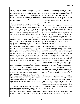At the height of the convention proceedings, the area would be put to the torch. While police and firemen fought the flames, an attack would be made on Camp Douglas and its prisoners freed. The banks would be looted, City Hall seized, and the police headquarters occupied. Thus, the second largest city in the land fell to rebel control.

Politics among the conspirators caused a postponement of their assault until Election Day. After reassembling in Toronto, burnings and attacks on local authorities were scheduled for simultaneous occurrence in Chicago, New York, Cincinnati, and Boston. Surveillance of these preparations continued and information from the informer flowed to Baker.

Offensive actions were unleashed against the terrorists. Without warning, General Benjamin F. Butler, seasoned in maintaining the security and serenity of New Orleans, marched into New York with 10,000 Union troops as the clock moved toward Election Day. Confederate arsonists abandoned their grandiose plan of havoc, set a few fires in some hotels (which were quickly distinguished), and fled to Canada. Across the border, they soon learned that they had been fortunate in their escape. A Baker spy in Chicago brought about the ruination of terrorist activities in that city and a Union operative in Indiana gathered enough information to implicate almost the entire band of Confederate conspirators in that state.

While these elements were being rounded up and jailed, Union authorities took an imprisoned Confederate officer into their intelligence corps, swore him to loyalty to the Union cause, and released him to make contact with some of the remaining members of the Northwest Conspiracy. Followed by Baker's agents, the man soon met with a group seeking to liberate 3,000 rebel officers incarcerated on Johnson's Island in Lake Michigan. The intervention of this spy cost the conspirators a cache of arms and the loss of a few men in Chicago and indirectly contributed to the scuttling of the Johnson's Island mission.

By late fall, 1864, the Northwest Conspiracy had collapsed and its principal leaders and organizers had been jailed.<sup>51</sup> The excitement and stimulation of the chase ended. Baker founded himself in an unfamiliar situation. He was given no public credit for his part in smashing the great conspiracy. On the contrary, his enemies increased their efforts to build up the ugly image of the Bastille master, and he continued to be identified in the public mind with unjust arrests and imprisonment, invasions of the rights of private persons and rumored profiteering. Baker still knew that, as a secret agent, the details of his activities must remain secret.

If, however he had hoped that this sensational case would change the attitude toward him in Congress and Administration circles, or would convince the Copperheads that he put the Union before personal gain, he must have been sadly disappointed. His success in securing and transmitting information which led to the dramatic collapse of the great conspiracy and the punishment of its leaders in the North still brought him no evidence that his services were to be fairly judged by the results he achieved for the Union cause.<sup>52</sup>

Baker had just completed a successful investigation of fraud and deception surrounding the draft, bountyhunting, defrauding sailors out of prize money, and efforts at morally corrupting Union troops in the New York City area when he received the news of Lincoln's assassination. Undoubtedly he felt guilt for not having had more advance information about the conspiracy against the President and for not having had agents near the Chief Executive when the murderer struck. Upon receiving word that Lincoln had been shot and was dead, Baker threw himself into the pursuit and capture of those responsible for the crime. After producing a handbill, the first to be circulated for a nationally wanted criminal, describing John Wilkes Booth in detail, Baker set about interrogating everyone and anyone who knew anything about the conspirators involved in the assassination.<sup>53</sup>

Stanton went along with the detective's thinking and supported his tigerish moves to stalk his prey. One by one, Booth's accomplices were rounded up. Baker's rival police agencies did most of the work. But he took charge of the prisoners, dragged incriminating admissions from them, put black hoods on their heads, and stuffed them in the hold of a monitor in the river.<sup>54</sup>

Finally, Baker found Booth's track, pursued him with a command of cavalry, and came at least to the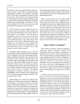Garrett farm where the assassin had taken refuge in a barn. His prey cornered, Baker confronted the killer, demanded his surrender or the alternative of firing the barn. In the midst of negotiations and flames, Booth was shot by either himself or by Sergeant Boston Corbett. Baker took charge of the body and later sought a portion of the rewards for capturing Booth. The amount subsequently awarded Baker was reduced to \$3,750 from a potential of \$17,500: the secret service chief continued to be unpopular with the Congress.<sup>55</sup>

With the death of Lincoln, Baker became the protector of the new President, Andrew Johnson, and set up the first White House secret service details in the history of the Republic.<sup>56</sup> With the peace of Appomattox, however, the career of the spy chief began to rapidly decline. The rebel foe of wartime now walked the streets of the capital. Many of the prostitutes and gamblers Baker had jailed under military law were again free. These, together with political enemies, taunted and reproached the once powerful secret service, a vestige of war, which seemed to have no future mission.

Nevertheless, Baker attempted to carry on in the old style. His task was to protect the President: his immediate foe, he surmised, were various female pardon brokers, lately sympathetic to the South, who prevailed upon the President to grant clemency and forgiveness to all manner of rebels. In attempting to halt this traffic in and out of the White House, Baker incurred the wrath of President Johnson and a lawsuit that successfully damaged his status and role. In the midst of the trial, he was routinely mustered out of the army and effectively left without a friend or defender.<sup>57</sup> He departed Washington in disgrace, returned to his wife in Philadelphia, wrote his memoirs in lieu of finding other work, contracted spinal meningitis and died on the evening of July 3, 1868.

Lafayette Baker was a zealot who, imbued with a strong sense of righteousness and a taste of vigilantism. in the name of a cause became oblivious to the endsmeans relationship underlying his function. In his defense of the Union and democratic government, he resorted to extreme actions obnoxious to popular rule and, in some instances, in violation of constitutional guarantees. He actively sought to exceed his intelligence role and became policeman, judge, and jailer. His desires

in this regard, and his capacity for achievement of same, were fostered and fed by the exigencies of the moment and the liberties Lincoln took in administering (or not administering) the law.

When Lincoln died and the war ended, Baker became a political pariah with a vestigial function. His activities had annoyed many, frightened some, and made bitter enemies of an important and powerful few. With the onset of peace in the Nation, he was virtually stripped of his organization and official status and left vulnerable to legal, political, and financial reprisals. These forces converged, coalesced, and crushed. Due to the secret nature of Baker's operations and his tendency to embellish fact, the full account of the activities of this spy chief may never be known. In all likelihood, his record of service will always be controversial, and of debatable value.

# **Henry Beebee Carrington**<sup>58</sup>

Henry Beebee Carrington conducted intelligence operations against political enemies—the Copperheads and rebel conspirators attempting to undermine the Union cause. Born in Connecticut in 1824, Carrington became an ardent abolitionist in his youth, graduated from Yale in 1845, and taught for a while in the Irving Institute at Tarrytown, New York. Under the influence of the school's founder, Washington Irving, he subsequently wrote Battles of the American Revolution, which appeared in 1876. He was also to write seven other major titles. Leaving New York, he taught at the New Haven Collegiate Institute while pursing a law degree at his old alma mater.

In 1848 he moved to Ohio and entered upon a law practice. Over the next dozen years Carrington represented a variety of commercial, manufacturing, banking, and railroad interests and became a pioneer in Republican politics. A close friend and supporter of Governor Salmon P. Chase, he was subsequently appointed to a position to reorganize the state militia (1857). He subsequently became an adjutant general for Ohio, mustering nine regiments of militia at the outbreak of the Civil War. He then was commissioned a colonel of the 18th United States Infantry and took command of an army camp near Columbus.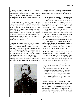In neighboring Indiana, Governor Olive P. Morton had need of Carrington's services. For reasons not altogether clear—perhaps it was his partisan political past and /or his ardent abolitionism—Carrington was ordered, upon the request of Morton, to organize the state's levies for service.

When Carrington arrived in Indiana, political warfare between the adherents of the administration and its opponents was beginning in earnest. The favorite weapon of the Republicans was that ephemeral and elusive order, the Knights of the Golden Circle. Carrington joined in wholeheartedly. On December 22, 1862, he blamed the appalling rate of desertion on the treasonable secret societies, whose penetration of the army was shown by knowledge among soldiers of a "battle sign" which would save them from rebel bullets.

In a long report dated March 19, 1863, he described the situation as so alarming that it bordered on open revolt. He claimed that the Knights had ninety-two thousand members between sixteen and seventy who were drilling constantly. They were plotting to seize the arsenals, the railroads, and the telegraph in order to revolutionize Indiana and "assert independent authority as a state." They communicated with Confederates, in particular with General Morgan, whose picture hung in many homes and who name was "daily praised." Thousands of them believed the



**Henry Beebee Carrington** 

bold raider would shortly appear to "raise the standard of revolt in Indiana." If he did, Carrington was sure Morgan could raise "an army of 20,000 traitors."<sup>59</sup>

What prompted these comments by Carrington and where he get his information? The answer to these questions appears to derive from the activities of Governor Morton. Taking advantage of the crisis conditions that the war created, Morton had established himself as virtual dictator of the state. He dealt harshly with rebel sympathizers, Copperheads, Democrats, and anyone opposed to his rule. By the end of 1861, a spy system had been inaugurated to keep watch of these enemies.<sup>60</sup> Carrington was given charge of this intelligence organization and thus became familiar with the "foes of the Union" which it kept under surveillance. There is strong evidence that Carrington had no desire for combat service and twice Morton intervened to prevent his transferal to the front lines. Thus, it was important that Carrington cast himself in the role of an intelligence chief devoted to maintaining the security of the state, even though disaster appeared to be just around the corner.

In March 1863, Carrington was promoted to brigadier-general and made commander of the District of Indiana of the Department of the Ohio, later renamed the Northern Department. By this time, however, he had intelligence activities organized and operating under his direction. His secret service:

"... was composed of spies, informers, betrayers, and outside secret agents. Inside officials who were jealous of more important leaders were worked on: the itch for money played a part; in quite a few instances, unsuspecting loyal men who had joined the casts were amazed at the lengths to which love of constitutional rights or Southern sympathies could carry the assertion of dissent. From many sources, and for almost as many motives, disclosures flowed in to Carrington's headquarters."<sup>61</sup>

Claiming to have between two and three thousand men reporting to him, Carrington enlisted the services of almost anyone who would provide information about an "enemy." Unsolicited reports were gratefully accepted as well. The amateur sleuths and informers were supplemented with a few choice agents and detectives. Spies apparently were paid from state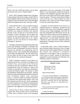funds at the rate of \$100 per month, over six times the amount received by a Federal soldier.<sup>62</sup>

Early in 1863 Carrington claimed to have emissaries at the meetings of the secret societies. In April 1864, he asked Adjutant General Lorenzo Thomas for money to organize a twelve-man detective force. One of his agents said he had eighteen men at such work early in 1864.

General Alvin P. Hovey, who succeeded Carrington August 25, 1864, continued his espionage organization. Colonel Conrad Baker, the state provost marshal, also employed informers who reported directly to him. At least one of the district provost marshals, Colonel Thompson, had an agent who worked for him among Democrats of the Seventh District. He signed his reports only as "H.," and his identity was not even known to Colonel Baker, Thompson's supervisor.

Carrington claimed he participated personally in his work, once attending "in disguise" a meeting of the Sons of Liberty in Indianapolis. Be that as it may, the general was probably not exaggerating when he claimed to know every morning what had happened in the lodges the night before. Not only did he have his own spies, but also he kept in close touch with other officials who conducted espionage.<sup>63</sup>

While Carrington's operatives were effective in breaking up the Sons of Liberty, the Knights of the Golden Circle, and elements of the Northwest Conspiracy, they also contributed to arbitrary arrests, infringements upon the freedom of speech and freedom of association, and otherwise maintained a corrupt and despotic regime. The manner in which the intelligence organization was recruited—utilizing betrayers, jealous and disgruntled officials, informers, and invalidated hearsay from unsolicited sources—caused it to traffic in unreliable information of generally more political than military value. And the suspicion prevails that the whole arrangement served to maintain Governor Morton's administration and coincidentally counteracted Confederate operatives who happened to count among his foes.

General Alvin P. Hovey replaced Carrington in August 1864. With less than a year of warfare ahead of him, Hovey assumed control of the espionage organization as the new commander of the Indian District. It is not immediately evident if he made any changes in the intelligence operation other than to gain access to the funds seized from bounty jumpers to pay his agents.<sup>64</sup> If the spy system did not collapse at the end of the war, it must certainly have been discarded in 1867, when Governor Morton resigned to enter the United States Senate.

Carrington was first mustered out of service as a brigadier-general of volunteers, rejoined his old regiment in the Army of the Cumberland, completed war duty and saw Indian campaigns in the West. He built and commanded Fort Phil Kearny but lost the respect of his fellow officers due to his reputation as a "political warrior" and his demonstrated lack of aggressiveness in several Indian skirmishes. Before a decision to remove him from command could be implemented, Carrington became further embroiled in controversy.

In December 1866, a force of fifteen hundred to three thousand Indians massacred a force of eighty officers and men under Captain William J. Fetterman. The disaster was attributed to Fetterman's disobeyance of Carrington's order to proceed on a certain route of march: instead, he had directly engaged the war party from their rear while they were attacking a group of woodcutters.

#### **Stanton's Letter**

The Secretary of War Washington City, D.C. May 2, 1863-11 a.m.

Major-General Hooker,

We cannot control intelligence in relationship to your movements while your generals write letters giving details. A letter from General VanAllen to a person not connected with the War Department describes your position as entrenched near Chancellorsville.

Can't you give his sword something to do, so that he will have less time for a pen?

/s/ Edwin M. Stanton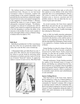The Indians turned on Fetterman's force and annihilated them. Because no one had heard Carrington's orders to Fetterman, coupled with existing distrust of the colonel's leadership, rumors persisted that the men had been ordered into tragedy. General Grant moved to court-martial Carrington but, at the suggestion of General William T. Sherman, submitted the matter to a court of inquiry, which subsequently exonerated Carrington. Nevertheless, Carrington was relieved of command and, with his military career ruined; he resigned and spent the rest of his life attempting to convince the public of his innocence in the incident. He also wrote a number of books and taught military science at Wabash College in Indiana before his death in 1912.

### **Spies**

#### **Belle Boyd**

Belle Boyd is probably the Civil War's most famous spy; but, in the view of a present-day student of her career, she is also the War's most overrated spy.

A Shenandoah Valley girl, Belle Boyd was only 17 years old in 1861. However, she was persevering in her efforts to aid the South by procuring useful information on Northern activities, much of it for the use of General "Stonewall" Jackson. To support her claims to success in secret service, Miss Boyd held



**Belle Boyd** 

an honorary Confederate Army rank, as well as the firm opinion as to her abilities of the entire North (especially that of its counterintelligence officers). The extent to which her efforts actually aided Southern arms is, however, uncertain and will probably remain so. One can admit that she was a woman of great spirit and charm.

On several occasions, the Union forces captured Belle Boyd, and each time she was released from imprisonment. However, Miss Boyd's activities became increasingly a matter of public knowledge, thus reducing her effectiveness.

Early in 1864, her health somewhat undermined, Miss Boyd decided to go to England. Jefferson Davis concurred in this decision, as she could be used as a courier to carry dispatches on her trip. On the day after her ship sailed from Wilmington, North Carolina, it was captured by a Northern warship and escorted to Boston.

Ensign Harding was placed in charge of the prize, and, on the trip north, he became completely mesmerized by Belle Boyd, finally proposing marriage, an offer that she accepted. Arriving in Boston, Miss Boyd was shortly exiled to Canada, from whence she went to England.

Through carelessness, Ensign Harding permitted the captain of the blockade-runner to escape in Boston, and Harding was cashiered from the Navy. He too made his way to England, where he and Belle Boyd were married. While in England in 1865, Belle Boyd published her memoirs, which is considered to be essentially sound with the usual embellishments of color and detail

#### **Spencer Kellogg Brown**

After brief service in the Union Army, Spencer Brown enlisted as a sailor on a Federal gunboat on the Mississippi River. With the permission of his commander, he "deserted" in January 1862, to begin an espionage mission within the Confederate lines. Brown succeeded in making his way back to General Ulysses S. Grant's headquarters during the battle of Shiloh with useful information on the Confederate order of battle.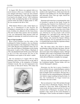In August 1862, Brown was captured while on a naval mission to blow up a Confederate vessel. He was charged with being a Union spy and a deserter from the Confederate Army. The charge of desertion was based on his alleged "service" with Confederate troops while accompanying them on his espionage mission before the battle of Shiloh earlier in 1862. He was executed in the fall of 1863.

While Spencer Brown is only a minor figure as a spy, he is remembered in part because the Confederacy executed him as a spy in defiance of a rule of military law adhered to by the Union forces. This rule was that when a person, who was formerly a spy, was subsequently taken prisoner while not engaged in espionage, he would not be tried as a spy.

#### **Rose O'Neil Greenhow**

Rose O'Neil Greenhow was the widow of the celebrated Dr. Robert Greenhow, who was librarian and chief translator of the Department of State from 1831-1850. Because of her husband's status, she was one of the chief figures in Washington society during that period. A native of Port Tobacco, Maryland, in 1861, she identified herself with the cause of the South in the Civil War and became the first of the Confederate secret agents in the nation's capital.

She was arrested on 21 August 1861 by Allan Pinkerton, chief of the Secret Service on the staff of General McClellen, at the instigation of President Abraham Lincoln. She was first imprisoned in her own home at 16th and H Streets, NW (where the



Rose O'Neil Greenhow

Hay-Adams Hotel now stands) and then for five months in the Capital Prison, which stood where the Supreme Court building now sits. Her little daughter and namesake, Rose, then age eight, shared her imprisonment with her.

Historians and writers have overestimated the value of Greenhow's spying for the South. Except for confirming that General Irvin McDowell's was moving his troops to Manassas, which gave General P. G. Beauregard the time he needed to prepare for battle, Greenhow's espionage activities were of little value to the Southern cause. Much of her information was obtained by having people walk around Washington, D.C. and report to her what they saw. She did have one "knowledgeable" source, Senator Henry Wilson, who chaired the Senate's Military Affairs Committee. He was reportedly her lover but it is doubtful that he provided any important military or political information to her.

She, like many spies, also failed to destroy incriminating evidence she kept in her house. After her arrest, a search of her home by Pinkerton's men, discovered copies of her intelligence reports. Although Greenhow used a code to write portions of her reports, she also left a copy of one of the plain-text messages, which allowed Pinkerton to decipher her messages.

After her arrest she continued to send messages to her Confederate handler, Thomas Jordan, who was General Beauregard's adjutant.

Historians cite this fact to prove Greenhow's resourcefulness but any counterintelligence analysis shows just the opposite. Pinkerton was no fool. He kept an airtight watch on Greenhow, allowing only a few visitors to see her, and punishing any of the guards who failed to inspect anything leaving the house. In fact, the Confederates no longer trusted any information she sent to them.

She was released on 1 June 1862 and taken through the Union lines to Richmond, Virginia, where she resided for a short time. While in Richmond, she wrote a book, My Imprisonment and the First Year of Abolition Rule in Washington. In autumn 1862 she boarded a ship, which ran the Union blockade at Wilmington, North Carolina and landed in England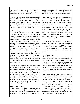via Nassau. In London she had her book published. She also represented the Confederacy in diplomatic negotiations with England and France.

She decided to return to the United States and, in the fall of 1864, she boarded a ship that attempted to run the blockade at Wilmington. The ship ran aground in high seas at Cape Fear River. Greenhow was determined to go ashore and persuaded the captain to lower a small boat. The small boat capsized and all abroad was saved but Greenhow who drown.

#### **C. Lorain Ruggles**

C. Lorain Ruggles was a member of the 20th Ohio Volunteer Infantry, serving in the Mississippi-Tennessee Theater as a scout, spy and detective. He claimed to be the brother of a Confederate general, in whose command he sometimes operated. Ruggles expressed his philosophy as follows: "People often ask me, 'What is the essential qualification of a good spy?' My answer is, 'It requires an accomplished liar.' I mean by that a man that can successfully practice deception. I do not mean that a man must be a habitual liar. There is nothing that I despise more than a man whose word cannot be relied upon. Whether deception, as I have practiced it in the discharge of my duty as a spy, is a moral wrong, I shall not attempt here to argue. Of this much I am sure: it has many times saved my life, and perhaps the lives of thousands of others, besides saving immense sums of money to the Government."

One of Ruggles' superiors, Brigadier General Wiles, stated that "I never knew him to give false information," and Ruggles' book contains several official comments on his success. Ruggles' book is titled, Four Years a Scout and Spy. It was ghost written for him by one of his officers, Major Edward C. Downs, who enlisted Ruggles in 1861. The book went through several editions, and in a later edition, Ruggles listed himself as the author and eliminated Major Downs' introduction. The title was also changed to Perils of Scout-Life.

#### **Henry Bascom Smith**

Lieutenant Henry Smith (whose self-assumed postwar rank was that of major) was occupied for much of the Civil War in basic counterintelligence work, including detection of blockade-runners and supervision of Confederate prisoners. Smith operated in Baltimore, Maryland, a center of secret service activity for both the Union and the Confederacy.

He joined the Union army as a second lieutenant in a New York heavy artillery regiment in January 1862. The following May his unit was ordered to Baltimore. After several adventures as a prisoner escort, Smith was appointed Assistant Provost Marshal at Fort McHenry, where he had his first experience in counterintelligence activities. He wrote: "Confederate mail carrying, spy promoting, blockade promoting, recruiting for Confederate service, were being engineered right from among these prisoners. I under-grounded it all. Through this channel, I enlisted for the Confederate service ... to discover their actions "

Smith did not "under-ground" by any means all such activity at Baltimore, but even so his claim is more modest, and more convincingly presented, than those others who overemphasized or glorified their intelligence and counterintelligence worth. His secret service rationale also was less overstated than most others.

#### **Felix Grundy Stidger**

Felix Stidger, after serving part of the war in a Kentucky (Federal) regiment, took his discharge and went to work as a detective. Despite his Union background, he was accepted as a member of the Copperhead secret societies in Kentucky, Indiana and Ohio. He was so successful in his penetration that he rose to a high office in the society His penetration was very instrumental in the arrest and prosecution of the chief conspirators.

Although he had testified in public, Stidger waited nearly 40 years to publish his story. While his story is not entirely verifiable, it is among the most trustworthy of the Civil War secret service memoirs. In producing such an account, Stidger unwittingly lent credence to his belief that the Copperheads trusted him because his manner had a certain straightforwardness about it. He wrote: "I know of no other reason why I should have been able to look them so steadily in their eyes except an innate consciousness of my being in the performance of a just and honorable duty to my government."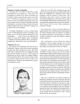#### **Benjamin Franklin Stringfellow**

Following the First Battle of Bull Run, Frank Stringfellow was trained as a scout under the command of Colonel J.E.B. Stuart. He became one of Stuart's better scouts and spies, and is one of the few Confederate intelligence operatives whose service can be even slightly documented. He is said to have spent weeks in occupied Alexandria collecting information; was in the environs of most of the great battles fought by the Army of Northern Virginia; was captured once and exchanged.

Of Captain Stringfellow's service, Colonel Stuart wrote, "In determining the enemy's real design, I rely upon you, as well as the quick transmission of the information. . . . Your service is too important and many be worth all the Yankee trains." Lauded by Confederate President Jefferson Davis, Stringfellow summed up: "My business was to get information."

#### **Elizabeth Van Lew**

Her parents were Northerners who had moved to Richmond, Virginia, where they became prominent citizens and where Elizabeth was born. Her father John Van Lew died when she was a young girl, leaving her and her mother to carry on. They stayed in Richmond but did not hold with southern thinking. They freed their family slaves and used their money to purchase relatives of their slaves in order to set them free also. Elizabeth was considered an eccentric by Richmond society.



**Benjamin Franklin Stringfellow** 

When the Civil War came, Elizabeth became the center of a northern spy network, called the Richmond Ring. She established five safehouses from which messages could be relayed to Union lines. The information came from a variety of sources. She succeeded in planting one of her former slaves within the Confederate White House of Jefferson Davis, She coordinated the underground activities of her brother, John Newton Van Lew and a black marketeer, Frederick Lohmann.

She secured the services of Samuel Ruth, the superintendent of the vital Richmond, Fredericksburg & Potomac Railroad. Ruth was effective in making the railroad inefficient, causing delays in moving valuable Confederate troops and supplies, without raising suspicion.

The Confederates arrested Ruth for aiding southerners, who no longer wanted to live in the Confederacy, to defect to the north. She was tried but the charges were dismissed for lack of evidence.

Elizabeth came under Confederate counterintelligence scrutiny because she and her mother visited and provided food and clothing to Union Army officers held in Richmond's notorious Libby prison. Union operatives tasked Elizabeth to obtain from the prisoners the latest information on battle information and estimates of Confederate army strength. Even when prison authorities refused to allow her to speak with the prisoners, she was able through other means to secure the information. Confederate counterintelligence made every effort to catch her. They kept her house under constant surveillance and conducted unannounced and random searches of her home. In the end, they failed to find any incriminating evidence against her.

When the Confederate Government abandoned Richmond, Elizabeth raised the American flag and welcomed General Ulysses Grant into her home upon his arrival in the city. After the war, she put in a claim to be reimbursed for her expenses. She was supported in her effort by then President Grant, but Congress rejected the claim. She might have died penniless but the Union officers she comforted in Libby prison raised enough funds to provide her with a steady income for the rest of her life.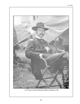

Col. George H. Sharpe following the Battle of Gettysburg, 1863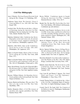# **Civil War Bibliography**

- Ayer, I. Winslow. The Great Treason Plot in the North during the War. Chicago: U.S. Publishing, 1895.
- Anderson, Nancy Scott. The Generals: Ulysses S. Grant and Robert E. Lee, 1861-1885. New York, Knopf 1988.
- Axelrod, Alan. The War Between the Spies: A History of Espionage during the American Civil War. Intelligence Services during the Civil War. New York, Atlantic Monthly Press 1992.
- Bakeless, Katherine Little. Confederate Spy Stories. Biographies of men and women who, for patriotic or mercenary reasons, engaged in espionage for the Confederacy. Philadelphia, Lippincott. 1973.
- Bakeless, John Edwin. Spies of the Confederacy. Secret Service in the Civil War, 1861-1865. Philadelphia: J.B. Lippincott, 1970.
- Baker, La Fayette Charles. History of the U.S. Secret Service during the Civil War. New York, AMS Press, 1973.
- Baker, La Fayette Charles. Spies, Espionage, Traitors, Secret Service and Conspirators of the late Civil War. 1861-65. Philadelphia, J. Potter and Co. 1894.
- Bates, David Homer. Lincoln in the Telegraph Office: Recollections of the U.S. Military Telegraph Corps during the Civil War. New York: Appleton-Century, 1939.
- Beymer, William Gilmore. On Hazardous Service: Scouts and Spies of the North and South. New York: Harper & Brothers, 1912.
- Benson, Blackwood Ketcham. Who goes there? The Story of a Spy in the Civil War. New York: MacMillan, 1900.
- Botkin, Benjamin Albert. A Civil War treasury of anecdotes, tales, legends, and folklore. New York, Random House 1960.
- Bovey, Wilfrid. "Confederate Agents in Canada During the American Civil War." Canadian Historical Review 2 (Mar. 1921): 46-57.
- Brandt, Nat. The Man Who Tried to Burn New York. New York: Berkley, 1990. (Robert Cobb Kennedy, Confederate spy and saboteur.)
- Brockett, Linus Pierpont. Intelligence Service in the Civil War: Scouts, Spies, and detectives of the Great Civil War. Including Thrilling adventures, daring deeds, and heroic exploits. Washington, D.C., The National Tribune, 1899.
- Brown, R. Shepard. Stringfellow of the Fourth: The Amazing Career of the Most Successful Confederate Scout. New York: Crown, 1960. (Frank Stringfellow.)
- Brown, Spencer Kellogg. Spencer Kellogg Brown, His Life in Kansas and His Death as a Spy, 1842-1863, as Disclosed in His Diary. Ed. by George Gardner Smith. New York: D. Appleton, 1903.
- Brownlee, Richard S. Gray Ghost of the Confederacy: Guerrilla Warfare in the West, 1861-1865. Baton Rouge, Louisiana State University Press. 1958.
- Bulloch, James Dunwody. The Secret Service of the Confederate States in Europe. New York: Putnam's, 1884. Reprinted. New York: Thomas Yoseloff, 1959.
- Case, Lynn M. and Warren F. Spencer. The United States and France: Civil War Diplomacy. Philadelphia: U. Penn. Press, 1970.
- Conrad, Thomas Nelson. A Confederate Spy: A Story of the Civil War. Confederate States of America. New York: J.S. Ogilie Publishing Company, 1892.
- Crouch, Tom D. The Eagle Aloft: Two Centuries of the Balloon in America. Washington: Smithsonian Institution Press, 1983.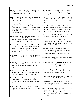- Current, Richard N. Lincoln's Loyalists: Union Soldiers from the Confederacy. Boston: Northeastern Univ. Press, 1992.
- Dannett, Sylvia G. L. Noble Women of the North: Women of the Civil War, Personal Narratives. New York T. Yoseloff, 1959.
- Downs, Edward C. The Great American Scout and Spy, "General Bunker"... A Truthful and thrilling narrative of the experiences of C. Lorain. Ruggles, of the Twentieth Ohio Volunteer infantry. Exploits, Perils, Adventures of a government scout and spy. New York, Olmsted, 1870.
- Drake, James Madison. Historical sketches, maps, anecdotes etc. used for the Revolutionary and Civil War for infiltration purposes. New York: Printed for the author by the Webster Press, 1908.
- Edmonds, Sarah Emma Evelyn, 1841-1898. The Female Spy of the Union Army: the thrilling adventures, experiences and escapes of a women as nurse, spy a female soldier, and scout. Boston, DeWolfe, Fiske. 1864.
- Estabrooks, Henry L. Adrift in Dixie; or, a Yankee Officer among the Rebels. New York, Carleton, 1866.
- Fishel, Edwin C. The Secret War for the Union: The Untold Story of Military Intelligence in the Civil War. Houghton Mifflin Company, Boston New York 1996.
- Fishel, Edwin C. "Myths That Never Die" International Journal of Intelligence and Counterintelligence 2. No. 1 (Spring 1988).
- Foote, Morris C. A Narrative of an escape from a Rebel Prison Camp, Evasion and Escape during the civil war. Camp Sorghum. Columbia, South Carolina.
- Forman, Allan. A Bit of Secret Service History: Intelligence Services during the Civil War. 1861-1865
- Foster, G. Allen. The eyes and ears of the Civil War: Communications, Intelligence Services, and Espionage. New York: Criterion Books, 1963.
- Gaddy, David W. "William Norris and the Confederate Signal and Secret Service Bureau." Maryland Historical Magazine 70, No 2 (Summer 1975).
- Glazier, Willard Worcester. 1841-1905. The Capture, the prison pen, and the escape of a courier. Giving a complete history of prison life in the South during the Civil War. New York: R.H. Ferguson, 1870.
- Gray, Wood. The Hidden Civil War: The Story of the Copperheads. New York: Viking, 1942.
- Grimes, Absalom Carlisle, 1834-1911. Absalom Carlisle Grimes and Milo Milton Quaife 1880-1959. Confederate mail runners. New Haven, Yale University Press; 1926.
- Hagerman. Edward. The American Civil War and the origins of modern warfare: ideas, organizations, and field commands and intelligence history. Bloomington: Indiana University Press, 1988.
- Hall, James O. "The Spy Harrison," Civil War Times Illustrated, Feb. 1986.
- Hardinge, Sam Wilde. Spies of the Confederate States of America. Belle Boyd in camp and prison. South Brunswick, New Jersey. 1968.
- Headley, John William. Confederate Covert Operations in Canada and New York. New York and Washington: Neale Pub. Co. 1906.
- Horan, James David., and Howard Swiggett. The Pinkerton Story. New York: Putnam's, 1951.
- Horan, James David., A Confederate agent in the Civil War. A discovery in history. New York: Crown Publishers. 1954.
- Johns, George Sibley, 1857-1941. Philip Henson, the Southern Union Spy. The hitherto unwritten record of a hero of the War of the Rebellion, History of the Secret Service. St. Louis, Nixon-Jones Print. Co, 1887.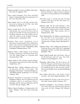- Johnston, Joseph E. Narrative of Military Operations. New York: D. Appleton, 1874.
- Jones, Virgil Carrington. Gray Ghost and Rebel Raiders. Underground Movements during the Civil War. New York, Holt. 1956.
- Kane, Harnett. Spies For The Blue and the Gray: Secret Service during the Civil War.. New York: Doubleday, Ace Books, 1954.
- Kerby, Joseph Orton. The Boy Spyin Dixie: A Substantially true record of the Secret Service during the Civil War, the only practical history of espionage during the war of the rebellion. Service under the shadow of the Scaffold. Chicago: Donohue and Co., Henneberry, 1892.
- Kinchen, Oscar Arvle. Confederate Covert Operations in Canada and the North; A little known phase of the American Underground and Secret Service during the Civil War. North Quincy, Mass, Christopher Publishing House, 1970.
- Klement, Frank L. Dark Lanterns: Secret Political Societies, Conspiracies, and Treason Trials in the Civil War. Baton Rouge, La: Louisiana State University Press, 1984.
- Landis, Arthur H. The Abraham Lincoln Brigade, Participation in the American Civil War. New York, Citadel Press, 1967.
- Maslowski, Peter. "Military Intelligence Services in the American Civil War: A Case Study." The Intelligence Revolution: A Historical Perspective. 13th Military History Symposium, U.S. Air Force Academy, 1988.
- McIntosh, Elizabeth P. Association of Former Intelligence Officers: The role of Women spies and intelligence officers in intelligence History, beginning with the American Revolution and the Civil War. McLean, Virginia. 1989.
- Military Signals Intelligence Communications. Ed. Paul J. Scheips, 2 Vols. New York: Arno Press, 1980.
- Mogelever, Jacob. Death to Traitors: The Story of General LaFayette C. Baker, Lincoln's Forgotten Secret Service Chief. Garden City, NY: Doubleday, 1960.
- Newcomer, Louis A. Lincoln's Boy Spy. Personal narratives from the Civil War. New York, G. P. Putnam's sons, 1929.
- Pinkerton, Allan. The Spy of the Rebellion. A True history of the Spy system of the United States Army during the late rebellion of the Civil War., Chicago: A.G. Netteton, 1883. Rep. Lincoln: Univ. of Nebraska Press, 1989.
- Plum, William Rattle. The Military telegraph during the Civil War in the United States, with an exposition of ancient and modern means of communication. Chicago, Jansen, McClurg & Co. 1882.
- Popchock, Barry. "His Lordship, the adventures of Union spy Pryce Lewis (1828-1911), Espionage during the Civil War," Civil War Times Illustrated, September 1988.
- Raskin, Edith & Joseph. Spies and Traitors; Tales of the Revolutionary and Civil wars. New York: Lothrop, Lee and Shepard Co. 1976.
- Richardson, Albert Deane. The Secret Service, the Field, the Dungeon, and the Escape, Experiences of a correspondent of the New York Tribune within the Confederate lines in 1861, and later with the Union Army. Hartford, Conn. American Publishing Co. 1865.
- Ross, Ishbel. Rebel Rose: Life of Rose O'Neal Greenhow. New York: Harper & Brothers, 1954.
- Rowan, Richard W. The Story of the Secret Service. New York: Literary Guild of America, 1937.
- Sarmiento, Ferdinand L. Life of Pauline Cushman Fryer (1833-1893): the celebrated Union Spy and scout of the Civil War. Chicago: W.H. Harrison, 1865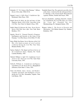- Schmidt, C.T. "G-2 Army of the Potomac." Military Review 28:4, (July 1948) 45-56.
- Sigaud, Louis A. Belle Boyd: Confederate Spy. Richmond: Dietz Press, 1944.
- Siepel, Kevin H. Rebel, the life and times of John Singleton Mosby (1833-1916): Guerrillas of the Civil War. New York: St. Martin's Press, 1983.
- Smith, Henry B. Between the Lines: Secret Service Stories Told Fifty Years After. New York: Booz Brothers, 1911.
- Sparks, David S. "General Patrick's Progress: Intelligence and Security in the Army of the Potomac," Civil War History 10:4 (1964): 371-384.
- Stern, Philip Van Doren. Secret Missions of the Civil War; first hand accounts of covert activity conducted during the Civil War. New York, Bonanza Books, 1975.
- Taylor, Charles E. The Signal and Secret Service of the Confederate States. Hamlet, NC: North Carolina Bookley, 1903.
- Tidwell, William A. April '65: Confederate Covert Action in the American Civil War. Kent State University Press, 1995.
- Tidwell, William A. Confederate intelligence expenditures for the Secret Service. Biographical references, Kent State U. Press, 1995.
- Time Life Books. Spies, Scouts, and Raiders: irregular operations and intelligence services during the Civil War. Alexandria, Virginia. Time Life Books, 1985.
- Trumbull, Henry Clay. The captured scout of the Army of the James. A sketch of the life of Sergeant Henry H. Manning, of the Twenty-fourth Massachusetts regiment. Boston, Nichols and Noyes, 1869.
- Van Lew, Elizabeth L. and Ryan, David D. A Yankee spy in Richmond: the Civil War diary of a Union spy "Crazy Bet" Elizabeth Van Lew. Mechanicsburg, PA. Stackpole Books, 1996.
- Wagner, Arthur L. The Service of Security and Information. 11th Edition Kansas City: Hudson-Kimberly, 1903.